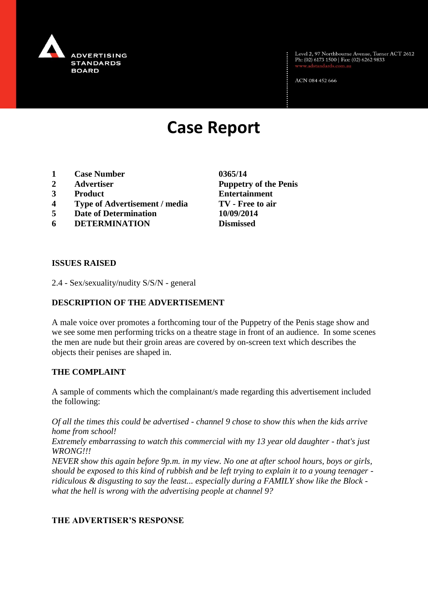

Level 2, 97 Northbourne Avenue, Turner ACT 2612<br>Ph: (02) 6173 1500 | Fax: (02) 6262 9833

ACN 084 452 666

# **Case Report**

- **1 Case Number 0365/14**
- 
- 
- **4 Type of Advertisement / media TV - Free to air**
- **5 Date of Determination 10/09/2014**
- **6 DETERMINATION Dismissed**

**2 Advertiser Puppetry of the Penis 3 Product Entertainment**

### **ISSUES RAISED**

2.4 - Sex/sexuality/nudity S/S/N - general

# **DESCRIPTION OF THE ADVERTISEMENT**

A male voice over promotes a forthcoming tour of the Puppetry of the Penis stage show and we see some men performing tricks on a theatre stage in front of an audience. In some scenes the men are nude but their groin areas are covered by on-screen text which describes the objects their penises are shaped in.

### **THE COMPLAINT**

A sample of comments which the complainant/s made regarding this advertisement included the following:

*Of all the times this could be advertised - channel 9 chose to show this when the kids arrive home from school!*

*Extremely embarrassing to watch this commercial with my 13 year old daughter - that's just WRONG!!!*

*NEVER show this again before 9p.m. in my view. No one at after school hours, boys or girls, should be exposed to this kind of rubbish and be left trying to explain it to a young teenager ridiculous & disgusting to say the least... especially during a FAMILY show like the Block what the hell is wrong with the advertising people at channel 9?*

### **THE ADVERTISER'S RESPONSE**